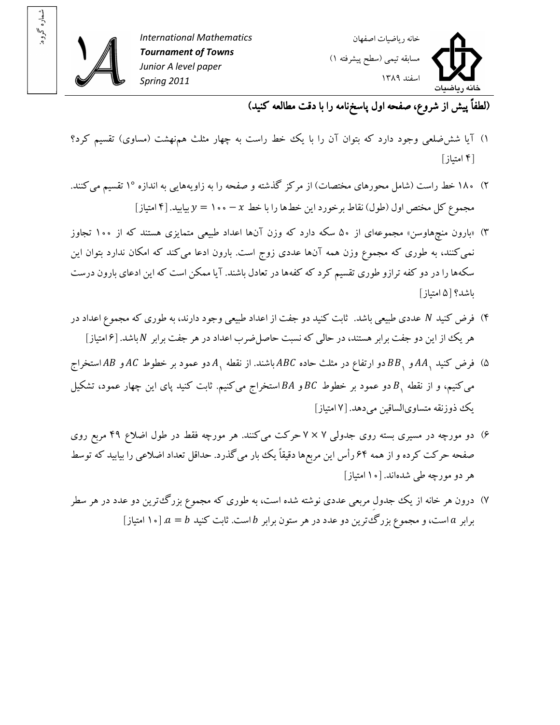

شماره گروه: شماره گروه:



(لطفاً پيش از شروع، صفحه اول پاسخ نامه را با دقت مطالعه کنيد)

- ۱) آيا شش ضلعي وجود دارد که بتوان آن را با يک خط راست به چهار مثلث همنهشت (مساوى) تقسيم کرد؟ ۴[ امتياز]
- ۲) ۱۸۰ خط راست (شامل محورهاي مختصات) از مرکز گذشته و صفحه را به زاويههايي به اندازه ۱° تقسيم مي کنند. مجموع کل مختص اول (طول) نقاط برخورد اين خطها را با خط  $x-\cdots$  ۱۰۰  $y=\mu$  بيابيد. [۴ امتياز]
- ۳) «بارون منچهاوسن» مجموعهای از ۵۰ سکه دارد که وزن آنها اعداد طبیعی متمایزی هستند که از ۱۰۰ تجاوز نمي کنند، به طوري که مجموع وزن همه آنها عددي زوج است. بارون ادعا مي کند که امکان ندارد بتوان اين سکهها را در دو کفه ترازو طوري تقسيم کرد که کفهها در تعادل باشند. آيا ممکن است که اين ادعاي بارون درست باشد؟ ۵[ امتياز]
- ۴) فرض کنيد N عددي طبيعي باشد. ثابت کنيد دو جفت از اعداد طبيعي وجود دارند، به طوري که مجموع اعداد در هر يک از اين دو جفت برابر هستند، در حالي که نسبت حاصل ضرب اعداد در هر جفت برابر N باشد. [۶|متياز]
- ۵) فرض کنید  $A A$ و  $B B$ دو ارتفاع در مثلث حاده  $ABC$  باشند. از نقطه  $A$ دو عمود بر خطوط  $AC$  و  $A$ استخراج میکنیم، و از نقطه  $\, B \,$  دو عمود بر خطوط  $\, BC \,$  و  $B$ استخراج می $\,$ کنیم. ثابت کنید پای این چهار عمود، تشکیل يک ذوزنقه متساوىالساقين مي دهد. [۷ امتياز]
- ۶) دو مورچه در مسیری بسته روی جدولی ۷ × ۷ حرکت میکنند. هر مورچه فقط در طول اضلاع ۴۹ مربع روی صفحه حرکت کرده و از همه ۶۴ رأس اين مربعها دقيقاً يک بار ميگذرد. حداقل تعداد اضلاعي را بيابيد که توسط هر دو مورچه طي شدهاند. [ ۱۰ امتياز]
- ۷) درون هر خانه از يک جدول مربعي عددي نوشته شده است، به طوري که مجموع بزرگت ترين دو عدد در هر سطر برابر  $a = b$  است، و مجموع بزرگتترين دو عدد در هر ستون برابر  $b$  است. ثابت کنيد  $a = b$  [۱۰ امتياز]